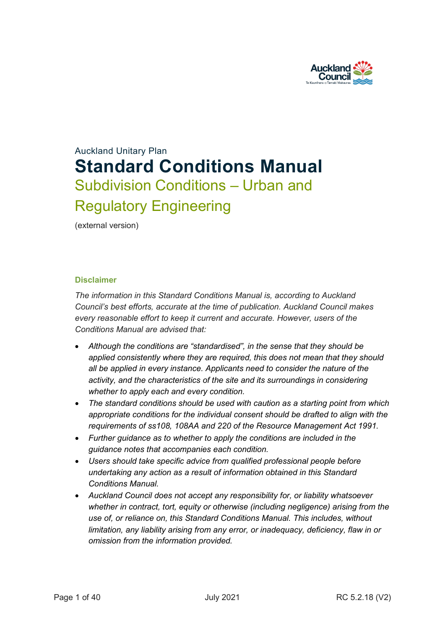

# Auckland Unitary Plan **Standard Conditions Manual** Subdivision Conditions – Urban and Regulatory Engineering

(external version)

#### **Disclaimer**

*The information in this Standard Conditions Manual is, according to Auckland Council's best efforts, accurate at the time of publication. Auckland Council makes every reasonable effort to keep it current and accurate. However, users of the Conditions Manual are advised that:*

- *Although the conditions are "standardised", in the sense that they should be applied consistently where they are required, this does not mean that they should all be applied in every instance. Applicants need to consider the nature of the activity, and the characteristics of the site and its surroundings in considering whether to apply each and every condition.*
- *The standard conditions should be used with caution as a starting point from which appropriate conditions for the individual consent should be drafted to align with the requirements of ss108, 108AA and 220 of the Resource Management Act 1991.*
- *Further guidance as to whether to apply the conditions are included in the guidance notes that accompanies each condition.*
- *Users should take specific advice from qualified professional people before undertaking any action as a result of information obtained in this Standard Conditions Manual.*
- *Auckland Council does not accept any responsibility for, or liability whatsoever whether in contract, tort, equity or otherwise (including negligence) arising from the use of, or reliance on, this Standard Conditions Manual. This includes, without limitation, any liability arising from any error, or inadequacy, deficiency, flaw in or omission from the information provided.*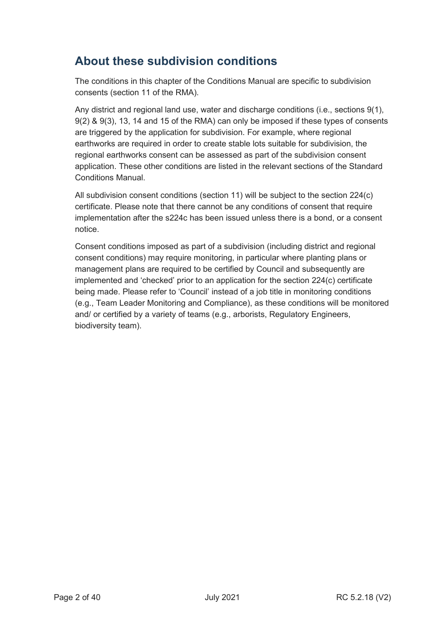## **About these subdivision conditions**

The conditions in this chapter of the Conditions Manual are specific to subdivision consents (section 11 of the RMA).

Any district and regional land use, water and discharge conditions (i.e., sections 9(1), 9(2) & 9(3), 13, 14 and 15 of the RMA) can only be imposed if these types of consents are triggered by the application for subdivision. For example, where regional earthworks are required in order to create stable lots suitable for subdivision, the regional earthworks consent can be assessed as part of the subdivision consent application. These other conditions are listed in the relevant sections of the Standard Conditions Manual.

All subdivision consent conditions (section 11) will be subject to the section 224(c) certificate. Please note that there cannot be any conditions of consent that require implementation after the s224c has been issued unless there is a bond, or a consent notice.

Consent conditions imposed as part of a subdivision (including district and regional consent conditions) may require monitoring, in particular where planting plans or management plans are required to be certified by Council and subsequently are implemented and 'checked' prior to an application for the section 224(c) certificate being made. Please refer to 'Council' instead of a job title in monitoring conditions (e.g., Team Leader Monitoring and Compliance), as these conditions will be monitored and/ or certified by a variety of teams (e.g., arborists, Regulatory Engineers, biodiversity team).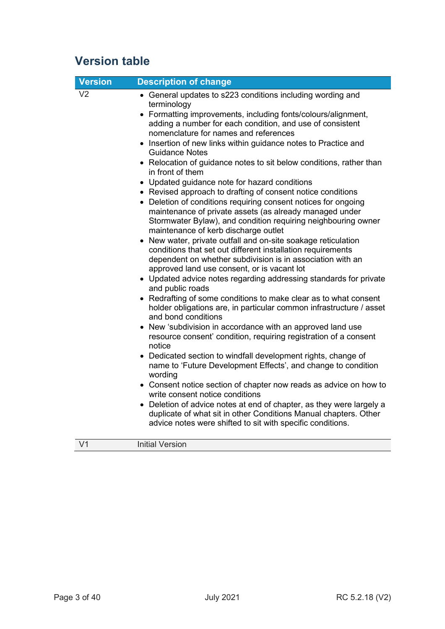## **Version table**

| <b>Version</b> | <b>Description of change</b>                                                                                                                                                                                                                                                                                                                                                                                                                                                                                                                                                                                                                                                                                                                                                                                                                                                                                                                                                                                                                                                                                                                                                                                                                                                                                                                                                                                                                                                                                                                                                                                                                                                                                                                                                                                                                                                                                |
|----------------|-------------------------------------------------------------------------------------------------------------------------------------------------------------------------------------------------------------------------------------------------------------------------------------------------------------------------------------------------------------------------------------------------------------------------------------------------------------------------------------------------------------------------------------------------------------------------------------------------------------------------------------------------------------------------------------------------------------------------------------------------------------------------------------------------------------------------------------------------------------------------------------------------------------------------------------------------------------------------------------------------------------------------------------------------------------------------------------------------------------------------------------------------------------------------------------------------------------------------------------------------------------------------------------------------------------------------------------------------------------------------------------------------------------------------------------------------------------------------------------------------------------------------------------------------------------------------------------------------------------------------------------------------------------------------------------------------------------------------------------------------------------------------------------------------------------------------------------------------------------------------------------------------------------|
| V <sub>2</sub> | • General updates to s223 conditions including wording and<br>terminology<br>• Formatting improvements, including fonts/colours/alignment,<br>adding a number for each condition, and use of consistent<br>nomenclature for names and references<br>• Insertion of new links within guidance notes to Practice and<br><b>Guidance Notes</b><br>• Relocation of guidance notes to sit below conditions, rather than<br>in front of them<br>• Updated guidance note for hazard conditions<br>• Revised approach to drafting of consent notice conditions<br>Deletion of conditions requiring consent notices for ongoing<br>maintenance of private assets (as already managed under<br>Stormwater Bylaw), and condition requiring neighbouring owner<br>maintenance of kerb discharge outlet<br>New water, private outfall and on-site soakage reticulation<br>conditions that set out different installation requirements<br>dependent on whether subdivision is in association with an<br>approved land use consent, or is vacant lot<br>• Updated advice notes regarding addressing standards for private<br>and public roads<br>• Redrafting of some conditions to make clear as to what consent<br>holder obligations are, in particular common infrastructure / asset<br>and bond conditions<br>• New 'subdivision in accordance with an approved land use<br>resource consent' condition, requiring registration of a consent<br>notice<br>• Dedicated section to windfall development rights, change of<br>name to 'Future Development Effects', and change to condition<br>wording<br>• Consent notice section of chapter now reads as advice on how to<br>write consent notice conditions<br>• Deletion of advice notes at end of chapter, as they were largely a<br>duplicate of what sit in other Conditions Manual chapters. Other<br>advice notes were shifted to sit with specific conditions. |
| $\overline{V}$ | <b>Initial Version</b>                                                                                                                                                                                                                                                                                                                                                                                                                                                                                                                                                                                                                                                                                                                                                                                                                                                                                                                                                                                                                                                                                                                                                                                                                                                                                                                                                                                                                                                                                                                                                                                                                                                                                                                                                                                                                                                                                      |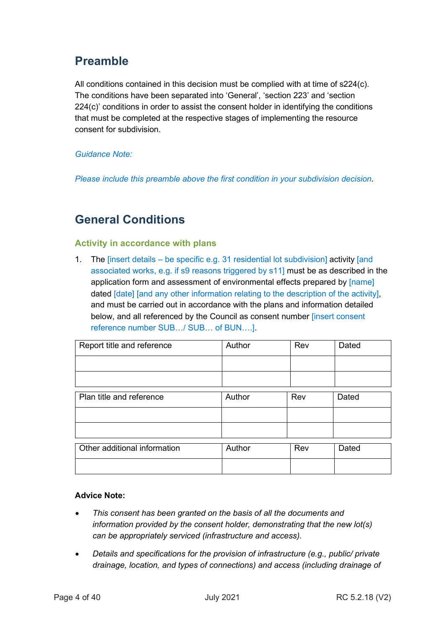## **Preamble**

All conditions contained in this decision must be complied with at time of s224(c). The conditions have been separated into 'General', 'section 223' and 'section 224(c)' conditions in order to assist the consent holder in identifying the conditions that must be completed at the respective stages of implementing the resource consent for subdivision.

## *Guidance Note:*

*Please include this preamble above the first condition in your subdivision decision.*

## **General Conditions**

## **Activity in accordance with plans**

1. The [insert details – be specific e.g. 31 residential lot subdivision] activity [and associated works, e.g. if s9 reasons triggered by s11] must be as described in the application form and assessment of environmental effects prepared by [name] dated [date] [and any other information relating to the description of the activity], and must be carried out in accordance with the plans and information detailed below, and all referenced by the Council as consent number [insert consent reference number SUB…/ SUB… of BUN….].

| Report title and reference   | Author | Rev | Dated |
|------------------------------|--------|-----|-------|
|                              |        |     |       |
|                              |        |     |       |
| Plan title and reference     | Author | Rev | Dated |
|                              |        |     |       |
|                              |        |     |       |
| Other additional information | Author | Rev | Dated |
|                              |        |     |       |

## **Advice Note:**

- *This consent has been granted on the basis of all the documents and information provided by the consent holder, demonstrating that the new lot(s) can be appropriately serviced (infrastructure and access).*
- *Details and specifications for the provision of infrastructure (e.g., public/ private drainage, location, and types of connections) and access (including drainage of*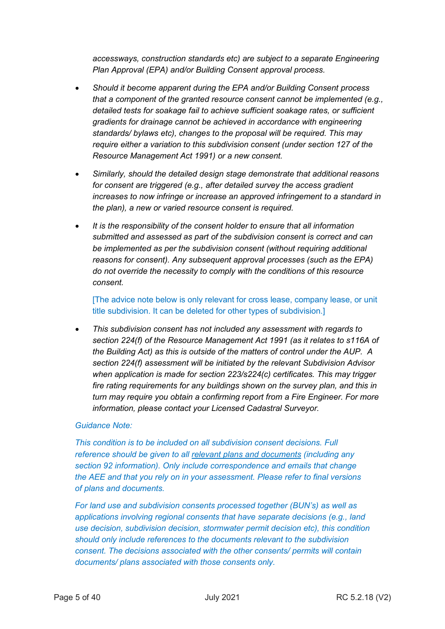*accessways, construction standards etc) are subject to a separate Engineering Plan Approval (EPA) and/or Building Consent approval process.* 

- *Should it become apparent during the EPA and/or Building Consent process that a component of the granted resource consent cannot be implemented (e.g., detailed tests for soakage fail to achieve sufficient soakage rates, or sufficient gradients for drainage cannot be achieved in accordance with engineering standards/ bylaws etc), changes to the proposal will be required. This may require either a variation to this subdivision consent (under section 127 of the Resource Management Act 1991) or a new consent.*
- *Similarly, should the detailed design stage demonstrate that additional reasons for consent are triggered (e.g., after detailed survey the access gradient increases to now infringe or increase an approved infringement to a standard in the plan), a new or varied resource consent is required.*
- *It is the responsibility of the consent holder to ensure that all information submitted and assessed as part of the subdivision consent is correct and can be implemented as per the subdivision consent (without requiring additional reasons for consent). Any subsequent approval processes (such as the EPA) do not override the necessity to comply with the conditions of this resource consent.*

[The advice note below is only relevant for cross lease, company lease, or unit title subdivision. It can be deleted for other types of subdivision.]

• *This subdivision consent has not included any assessment with regards to section 224(f) of the Resource Management Act 1991 (as it relates to s116A of the Building Act) as this is outside of the matters of control under the AUP. A section 224(f) assessment will be initiated by the relevant Subdivision Advisor when application is made for section 223/s224(c) certificates. This may trigger fire rating requirements for any buildings shown on the survey plan, and this in turn may require you obtain a confirming report from a Fire Engineer. For more information, please contact your Licensed Cadastral Surveyor.*

## *Guidance Note:*

*This condition is to be included on all subdivision consent decisions. Full reference should be given to all relevant plans and documents (including any section 92 information). Only include correspondence and emails that change the AEE and that you rely on in your assessment. Please refer to final versions of plans and documents.*

*For land use and subdivision consents processed together (BUN's) as well as applications involving regional consents that have separate decisions (e.g., land use decision, subdivision decision, stormwater permit decision etc), this condition should only include references to the documents relevant to the subdivision consent. The decisions associated with the other consents/ permits will contain documents/ plans associated with those consents only.*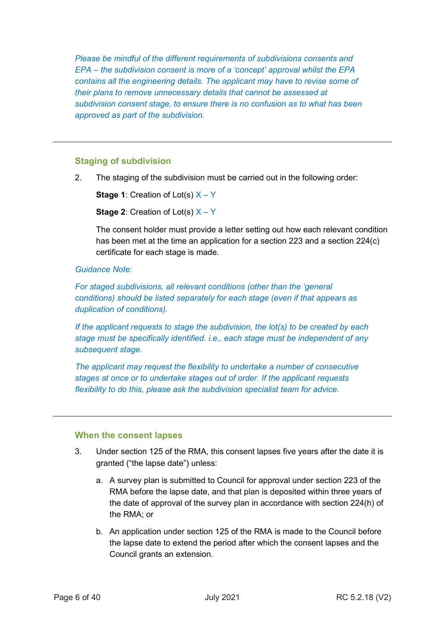*Please be mindful of the different requirements of subdivisions consents and EPA – the subdivision consent is more of a 'concept' approval whilst the EPA contains all the engineering details. The applicant may have to revise some of their plans to remove unnecessary details that cannot be assessed at subdivision consent stage, to ensure there is no confusion as to what has been approved as part of the subdivision.*

## **Staging of subdivision**

2. The staging of the subdivision must be carried out in the following order:

**Stage 1:** Creation of Lot(s)  $X - Y$ **Stage 2:** Creation of Lot(s)  $X - Y$ 

The consent holder must provide a letter setting out how each relevant condition has been met at the time an application for a section 223 and a section 224(c) certificate for each stage is made.

#### *Guidance Note:*

*For staged subdivisions, all relevant conditions (other than the 'general conditions) should be listed separately for each stage (even if that appears as duplication of conditions).* 

*If the applicant requests to stage the subdivision, the lot(s) to be created by each stage must be specifically identified. i.e., each stage must be independent of any subsequent stage.*

*The applicant may request the flexibility to undertake a number of consecutive stages at once or to undertake stages out of order. If the applicant requests flexibility to do this, please ask the subdivision specialist team for advice.* 

## **When the consent lapses**

- 3. Under section 125 of the RMA, this consent lapses five years after the date it is granted ("the lapse date") unless:
	- a. A survey plan is submitted to Council for approval under section 223 of the RMA before the lapse date, and that plan is deposited within three years of the date of approval of the survey plan in accordance with section 224(h) of the RMA; or
	- b. An application under section 125 of the RMA is made to the Council before the lapse date to extend the period after which the consent lapses and the Council grants an extension.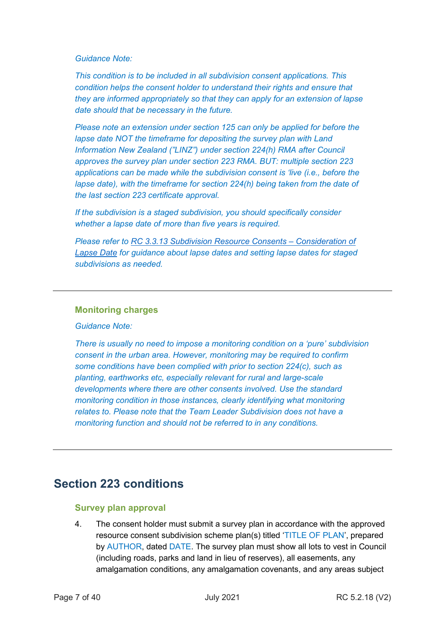#### *Guidance Note:*

*This condition is to be included in all subdivision consent applications. This condition helps the consent holder to understand their rights and ensure that they are informed appropriately so that they can apply for an extension of lapse date should that be necessary in the future.*

*Please note an extension under section 125 can only be applied for before the lapse date NOT the timeframe for depositing the survey plan with Land Information New Zealand ("LINZ") under section 224(h) RMA after Council approves the survey plan under section 223 RMA. BUT: multiple section 223 applications can be made while the subdivision consent is 'live (i.e., before the lapse date), with the timeframe for section 224(h) being taken from the date of the last section 223 certificate approval.*

*If the subdivision is a staged subdivision, you should specifically consider whether a lapse date of more than five years is required.*

*Please refer to RC 3.3.13 [Subdivision Resource Consents –](http://content.aucklanddesignmanual.co.nz/regulations/practice-notes/Documents/RC%203.3.13%20Subdivision%20Resource%20Consents%20-%20Consideration%20of%20Lapse%20Date.pdf) Consideration of [Lapse Date](http://content.aucklanddesignmanual.co.nz/regulations/practice-notes/Documents/RC%203.3.13%20Subdivision%20Resource%20Consents%20-%20Consideration%20of%20Lapse%20Date.pdf) for guidance about lapse dates and setting lapse dates for staged subdivisions as needed.*

## **Monitoring charges**

*Guidance Note:*

*There is usually no need to impose a monitoring condition on a 'pure' subdivision consent in the urban area. However, monitoring may be required to confirm some conditions have been complied with prior to section 224(c), such as planting, earthworks etc, especially relevant for rural and large-scale developments where there are other consents involved. Use the standard monitoring condition in those instances, clearly identifying what monitoring relates to. Please note that the Team Leader Subdivision does not have a monitoring function and should not be referred to in any conditions.* 

## **Section 223 conditions**

## **Survey plan approval**

4. The consent holder must submit a survey plan in accordance with the approved resource consent subdivision scheme plan(s) titled 'TITLE OF PLAN', prepared by AUTHOR, dated DATE. The survey plan must show all lots to vest in Council (including roads, parks and land in lieu of reserves), all easements, any amalgamation conditions, any amalgamation covenants, and any areas subject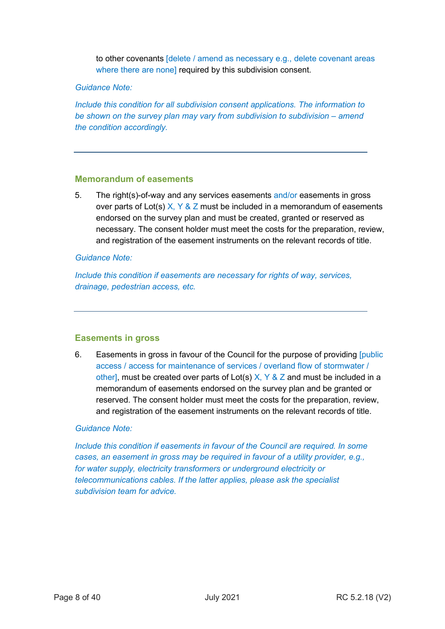to other covenants [delete / amend as necessary e.g., delete covenant areas where there are none] required by this subdivision consent.

## *Guidance Note:*

*Include this condition for all subdivision consent applications. The information to be shown on the survey plan may vary from subdivision to subdivision – amend the condition accordingly.*

#### **Memorandum of easements**

5. The right(s)-of-way and any services easements and/or easements in gross over parts of Lot(s)  $X, Y \& Z$  must be included in a memorandum of easements endorsed on the survey plan and must be created, granted or reserved as necessary. The consent holder must meet the costs for the preparation, review, and registration of the easement instruments on the relevant records of title.

## *Guidance Note:*

*Include this condition if easements are necessary for rights of way, services, drainage, pedestrian access, etc.*

## **Easements in gross**

6. Easements in gross in favour of the Council for the purpose of providing [public access / access for maintenance of services / overland flow of stormwater / other], must be created over parts of Lot(s)  $X, Y \& Z$  and must be included in a memorandum of easements endorsed on the survey plan and be granted or reserved. The consent holder must meet the costs for the preparation, review, and registration of the easement instruments on the relevant records of title.

#### *Guidance Note:*

*Include this condition if easements in favour of the Council are required. In some cases, an easement in gross may be required in favour of a utility provider, e.g., for water supply, electricity transformers or underground electricity or telecommunications cables. If the latter applies, please ask the specialist subdivision team for advice.*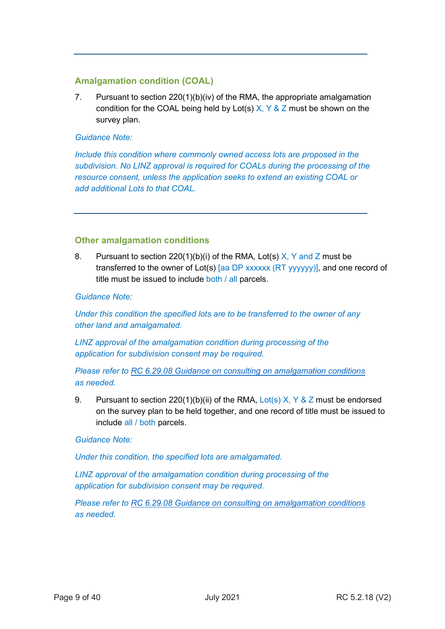## **Amalgamation condition (COAL)**

7. Pursuant to section 220(1)(b)(iv) of the RMA, the appropriate amalgamation condition for the COAL being held by Lot(s)  $X, Y \& Z$  must be shown on the survey plan.

## *Guidance Note:*

*Include this condition where commonly owned access lots are proposed in the subdivision. No LINZ approval is required for COALs during the processing of the resource consent, unless the application seeks to extend an existing COAL or add additional Lots to that COAL.*

## **Other amalgamation conditions**

8. Pursuant to section 220(1)(b)(i) of the RMA, Lot(s)  $X$ , Y and Z must be transferred to the owner of Lot(s) [aa DP xxxxxx (RT yyyyyy)], and one record of title must be issued to include both / all parcels.

*Guidance Note:*

*Under this condition the specified lots are to be transferred to the owner of any other land and amalgamated.*

*LINZ approval of the amalgamation condition during processing of the application for subdivision consent may be required.*

## *Please refer to [RC 6.29.08 Guidance on consulting on amalgamation conditions](https://acintranet.aklc.govt.nz/EN/departments/resourceconsents/Resource%20Consents%20Document%20Control%20Masters/RC%206.29.08%20Guidance%20on%20consulting%20on%20amalgamation%20conditions.docx) as needed.*

9. Pursuant to section 220(1)(b)(ii) of the RMA, Lot(s) X,  $\gamma$  & Z must be endorsed on the survey plan to be held together, and one record of title must be issued to include all / both parcels.

*Guidance Note:*

*Under this condition, the specified lots are amalgamated.* 

*LINZ approval of the amalgamation condition during processing of the application for subdivision consent may be required.*

*Please refer to [RC 6.29.08 Guidance on consulting on amalgamation conditions](https://acintranet.aklc.govt.nz/EN/departments/resourceconsents/Resource%20Consents%20Document%20Control%20Masters/RC%206.29.08%20Guidance%20on%20consulting%20on%20amalgamation%20conditions.docx) as needed.*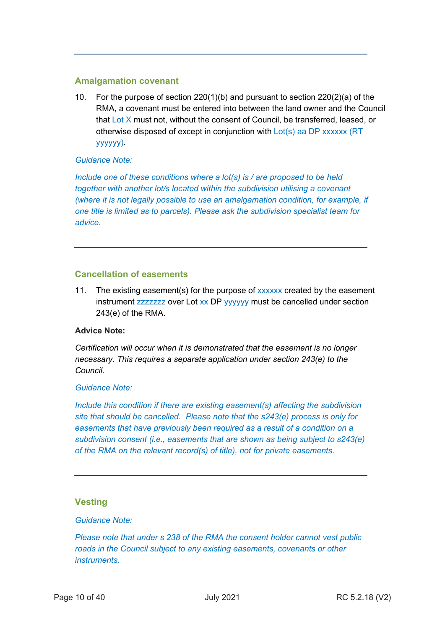## **Amalgamation covenant**

10. For the purpose of section 220(1)(b) and pursuant to section 220(2)(a) of the RMA, a covenant must be entered into between the land owner and the Council that Lot X must not, without the consent of Council, be transferred, leased, or otherwise disposed of except in conjunction with  $Lot(s)$  aa DP xxxxxx (RT yyyyyy).

## *Guidance Note:*

*Include one of these conditions where a lot(s) is / are proposed to be held together with another lot/s located within the subdivision utilising a covenant (where it is not legally possible to use an amalgamation condition, for example, if one title is limited as to parcels). Please ask the subdivision specialist team for advice.* 

## **Cancellation of easements**

11. The existing easement(s) for the purpose of xxxxxx created by the easement instrument zzzzzzz over Lot xx DP yyyyyy must be cancelled under section 243(e) of the RMA.

#### **Advice Note:**

*Certification will occur when it is demonstrated that the easement is no longer necessary. This requires a separate application under section 243(e) to the Council.*

#### *Guidance Note:*

*Include this condition if there are existing easement(s) affecting the subdivision site that should be cancelled. Please note that the s243(e) process is only for easements that have previously been required as a result of a condition on a subdivision consent (i.e., easements that are shown as being subject to s243(e) of the RMA on the relevant record(s) of title), not for private easements.*

## **Vesting**

### *Guidance Note:*

*Please note that under s 238 of the RMA the consent holder cannot vest public roads in the Council subject to any existing easements, covenants or other instruments.*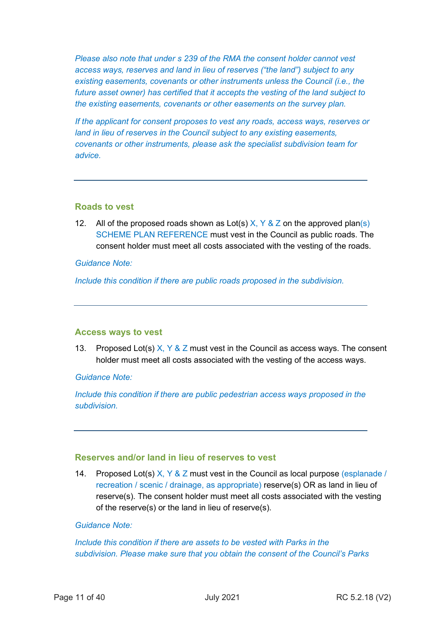*Please also note that under s 239 of the RMA the consent holder cannot vest access ways, reserves and land in lieu of reserves ("the land") subject to any existing easements, covenants or other instruments unless the Council (i.e., the future asset owner) has certified that it accepts the vesting of the land subject to the existing easements, covenants or other easements on the survey plan.*

*If the applicant for consent proposes to vest any roads, access ways, reserves or land in lieu of reserves in the Council subject to any existing easements, covenants or other instruments, please ask the specialist subdivision team for advice.*

## **Roads to vest**

12. All of the proposed roads shown as Lot(s)  $X, Y \& Z$  on the approved plan(s) SCHEME PLAN REFERENCE must vest in the Council as public roads. The consent holder must meet all costs associated with the vesting of the roads.

#### *Guidance Note:*

*Include this condition if there are public roads proposed in the subdivision.*

#### **Access ways to vest**

13. Proposed Lot(s)  $X, Y, \& Z$  must vest in the Council as access ways. The consent holder must meet all costs associated with the vesting of the access ways.

*Guidance Note:* 

*Include this condition if there are public pedestrian access ways proposed in the subdivision.* 

## **Reserves and/or land in lieu of reserves to vest**

14. Proposed Lot(s)  $X, Y \& Z$  must vest in the Council as local purpose (esplanade / recreation / scenic / drainage, as appropriate) reserve(s) OR as land in lieu of reserve(s). The consent holder must meet all costs associated with the vesting of the reserve(s) or the land in lieu of reserve(s).

#### *Guidance Note:*

*Include this condition if there are assets to be vested with Parks in the subdivision. Please make sure that you obtain the consent of the Council's Parks*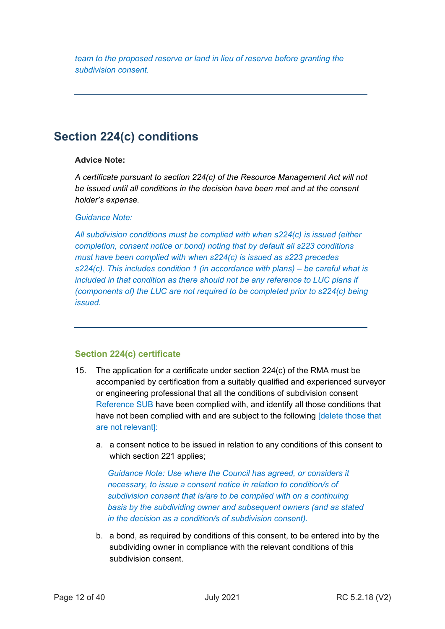*team to the proposed reserve or land in lieu of reserve before granting the subdivision consent.*

## **Section 224(c) conditions**

## **Advice Note:**

*A certificate pursuant to section 224(c) of the Resource Management Act will not be issued until all conditions in the decision have been met and at the consent holder's expense.*

## *Guidance Note:*

*All subdivision conditions must be complied with when s224(c) is issued (either completion, consent notice or bond) noting that by default all s223 conditions must have been complied with when s224(c) is issued as s223 precedes s224(c). This includes condition 1 (in accordance with plans) – be careful what is*  included in that condition as there should not be any reference to LUC plans if *(components of) the LUC are not required to be completed prior to s224(c) being issued.* 

## **Section 224(c) certificate**

- 15. The application for a certificate under section 224(c) of the RMA must be accompanied by certification from a suitably qualified and experienced surveyor or engineering professional that all the conditions of subdivision consent Reference SUB have been complied with, and identify all those conditions that have not been complied with and are subject to the following [delete those that are not relevant]:
	- a. a consent notice to be issued in relation to any conditions of this consent to which section 221 applies;

*Guidance Note: Use where the Council has agreed, or considers it necessary, to issue a consent notice in relation to condition/s of subdivision consent that is/are to be complied with on a continuing basis by the subdividing owner and subsequent owners (and as stated in the decision as a condition/s of subdivision consent).*

b. a bond, as required by conditions of this consent, to be entered into by the subdividing owner in compliance with the relevant conditions of this subdivision consent.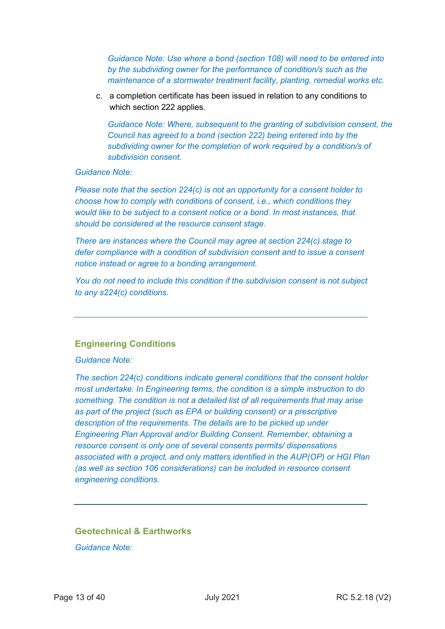*Guidance Note: Use where a bond (section 108) will need to be entered into by the subdividing owner for the performance of condition/s such as the maintenance of a stormwater treatment facility, planting, remedial works etc.*

c. a completion certificate has been issued in relation to any conditions to which section 222 applies.

*Guidance Note: Where, subsequent to the granting of subdivision consent, the Council has agreed to a bond (section 222) being entered into by the subdividing owner for the completion of work required by a condition/s of subdivision consent.*

#### *Guidance Note:*

*Please note that the section 224(c) is not an opportunity for a consent holder to choose how to comply with conditions of consent, i.e., which conditions they would like to be subject to a consent notice or a bond. In most instances, that should be considered at the resource consent stage.* 

*There are instances where the Council may agree at section 224(c) stage to defer compliance with a condition of subdivision consent and to issue a consent notice instead or agree to a bonding arrangement.* 

*You do not need to include this condition if the subdivision consent is not subject to any s224(c) conditions.*

#### **Engineering Conditions**

*Guidance Note:* 

*The section 224(c) conditions indicate general conditions that the consent holder must undertake. In Engineering terms, the condition is a simple instruction to do something. The condition is not a detailed list of all requirements that may arise as part of the project (such as EPA or building consent) or a prescriptive description of the requirements. The details are to be picked up under Engineering Plan Approval and/or Building Consent. Remember, obtaining a resource consent is only one of several consents permits/ dispensations associated with a project, and only matters identified in the AUP(OP) or HGI Plan (as well as section 106 considerations) can be included in resource consent engineering conditions.*

#### **Geotechnical & Earthworks**

*Guidance Note:*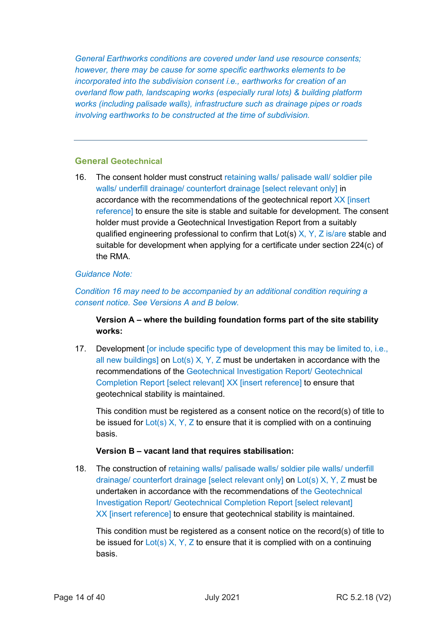*General Earthworks conditions are covered under land use resource consents; however, there may be cause for some specific earthworks elements to be incorporated into the subdivision consent i.e., earthworks for creation of an overland flow path, landscaping works (especially rural lots) & building platform works (including palisade walls), infrastructure such as drainage pipes or roads involving earthworks to be constructed at the time of subdivision.* 

## **General Geotechnical**

16. The consent holder must construct retaining walls/ palisade wall/ soldier pile walls/ underfill drainage/ counterfort drainage [select relevant only] in accordance with the recommendations of the geotechnical report XX [insert reference] to ensure the site is stable and suitable for development. The consent holder must provide a Geotechnical Investigation Report from a suitably qualified engineering professional to confirm that Lot(s)  $X, Y, Z$  is/are stable and suitable for development when applying for a certificate under section 224(c) of the RMA.

### *Guidance Note:*

*Condition 16 may need to be accompanied by an additional condition requiring a consent notice. See Versions A and B below.*

**Version A – where the building foundation forms part of the site stability works:**

17. Development [or include specific type of development this may be limited to, i.e., all new buildings] on Lot(s) X, Y, Z must be undertaken in accordance with the recommendations of the Geotechnical Investigation Report/ Geotechnical Completion Report [select relevant] XX [insert reference] to ensure that geotechnical stability is maintained.

This condition must be registered as a consent notice on the record(s) of title to be issued for  $Lot(s)$  X, Y, Z to ensure that it is complied with on a continuing basis.

#### **Version B – vacant land that requires stabilisation:**

18. The construction of retaining walls/ palisade walls/ soldier pile walls/ underfill drainage/ counterfort drainage [select relevant only] on Lot(s) X, Y, Z must be undertaken in accordance with the recommendations of the Geotechnical Investigation Report/ Geotechnical Completion Report [select relevant] XX [insert reference] to ensure that geotechnical stability is maintained.

This condition must be registered as a consent notice on the record(s) of title to be issued for  $Lot(s) X, Y, Z$  to ensure that it is complied with on a continuing basis.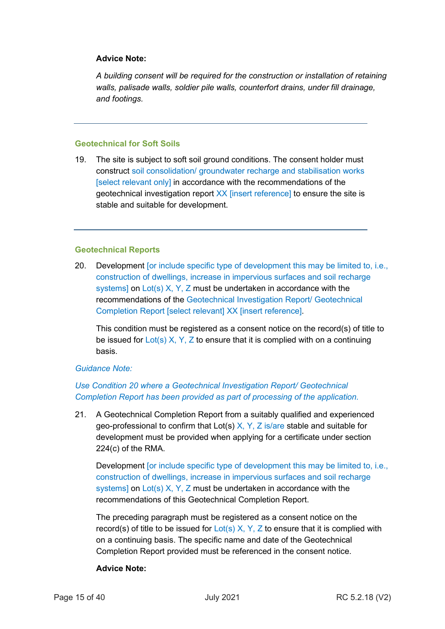## **Advice Note:**

*A building consent will be required for the construction or installation of retaining walls, palisade walls, soldier pile walls, counterfort drains, under fill drainage, and footings.*

## **Geotechnical for Soft Soils**

19. The site is subject to soft soil ground conditions. The consent holder must construct soil consolidation/ groundwater recharge and stabilisation works [select relevant only] in accordance with the recommendations of the geotechnical investigation report XX [insert reference] to ensure the site is stable and suitable for development.

### **Geotechnical Reports**

20. Development [or include specific type of development this may be limited to, i.e., construction of dwellings, increase in impervious surfaces and soil recharge systems] on  $Lot(s)$  X, Y, Z must be undertaken in accordance with the recommendations of the Geotechnical Investigation Report/ Geotechnical Completion Report [select relevant] XX [insert reference].

This condition must be registered as a consent notice on the record(s) of title to be issued for  $Lot(s)$  X, Y, Z to ensure that it is complied with on a continuing basis.

## *Guidance Note:*

## *Use Condition 20 where a Geotechnical Investigation Report/ Geotechnical Completion Report has been provided as part of processing of the application.*

21. A Geotechnical Completion Report from a suitably qualified and experienced geo-professional to confirm that Lot(s)  $X$ ,  $Y$ ,  $Z$  is/are stable and suitable for development must be provided when applying for a certificate under section 224(c) of the RMA.

Development [or include specific type of development this may be limited to, i.e., construction of dwellings, increase in impervious surfaces and soil recharge systems] on Lot(s) X, Y, Z must be undertaken in accordance with the recommendations of this Geotechnical Completion Report.

The preceding paragraph must be registered as a consent notice on the record(s) of title to be issued for  $Lot(s)$  X, Y, Z to ensure that it is complied with on a continuing basis. The specific name and date of the Geotechnical Completion Report provided must be referenced in the consent notice.

## **Advice Note:**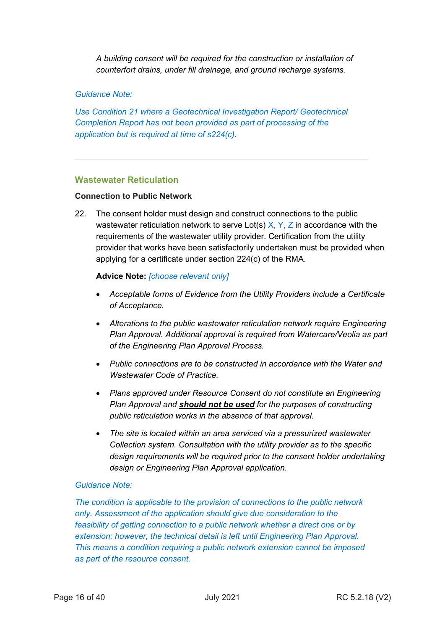*A building consent will be required for the construction or installation of counterfort drains, under fill drainage, and ground recharge systems.*

### *Guidance Note:*

*Use Condition 21 where a Geotechnical Investigation Report/ Geotechnical Completion Report has not been provided as part of processing of the application but is required at time of s224(c).*

## **Wastewater Reticulation**

#### **Connection to Public Network**

22. The consent holder must design and construct connections to the public wastewater reticulation network to serve Lot(s)  $X, Y, Z$  in accordance with the requirements of the wastewater utility provider. Certification from the utility provider that works have been satisfactorily undertaken must be provided when applying for a certificate under section 224(c) of the RMA.

#### **Advice Note:** *[choose relevant only]*

- *Acceptable forms of Evidence from the Utility Providers include a Certificate of Acceptance.*
- *Alterations to the public wastewater reticulation network require Engineering Plan Approval. Additional approval is required from Watercare/Veolia as part of the Engineering Plan Approval Process.*
- *Public connections are to be constructed in accordance with the Water and Wastewater Code of Practice.*
- *Plans approved under Resource Consent do not constitute an Engineering Plan Approval and should not be used for the purposes of constructing public reticulation works in the absence of that approval.*
- *The site is located within an area serviced via a pressurized wastewater Collection system. Consultation with the utility provider as to the specific design requirements will be required prior to the consent holder undertaking design or Engineering Plan Approval application.*

#### *Guidance Note:*

*The condition is applicable to the provision of connections to the public network only. Assessment of the application should give due consideration to the feasibility of getting connection to a public network whether a direct one or by*  extension; however, the technical detail is left until Engineering Plan Approval. *This means a condition requiring a public network extension cannot be imposed as part of the resource consent.*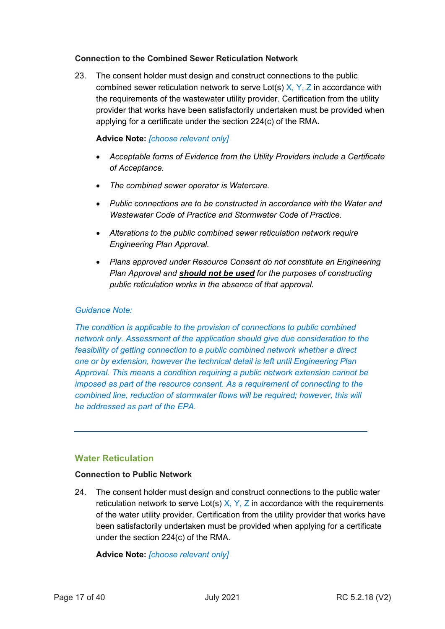### **Connection to the Combined Sewer Reticulation Network**

23. The consent holder must design and construct connections to the public combined sewer reticulation network to serve Lot(s)  $X, Y, Z$  in accordance with the requirements of the wastewater utility provider. Certification from the utility provider that works have been satisfactorily undertaken must be provided when applying for a certificate under the section 224(c) of the RMA.

## **Advice Note:** *[choose relevant only]*

- *Acceptable forms of Evidence from the Utility Providers include a Certificate of Acceptance.*
- *The combined sewer operator is Watercare.*
- *Public connections are to be constructed in accordance with the Water and Wastewater Code of Practice and Stormwater Code of Practice.*
- *Alterations to the public combined sewer reticulation network require Engineering Plan Approval.*
- *Plans approved under Resource Consent do not constitute an Engineering Plan Approval and should not be used for the purposes of constructing public reticulation works in the absence of that approval.*

### *Guidance Note:*

*The condition is applicable to the provision of connections to public combined network only. Assessment of the application should give due consideration to the feasibility of getting connection to a public combined network whether a direct one or by extension, however the technical detail is left until Engineering Plan Approval. This means a condition requiring a public network extension cannot be imposed as part of the resource consent. As a requirement of connecting to the combined line, reduction of stormwater flows will be required; however, this will be addressed as part of the EPA.* 

## **Water Reticulation**

#### **Connection to Public Network**

24. The consent holder must design and construct connections to the public water reticulation network to serve Lot(s)  $X, Y, Z$  in accordance with the requirements of the water utility provider. Certification from the utility provider that works have been satisfactorily undertaken must be provided when applying for a certificate under the section 224(c) of the RMA.

**Advice Note:** *[choose relevant only]*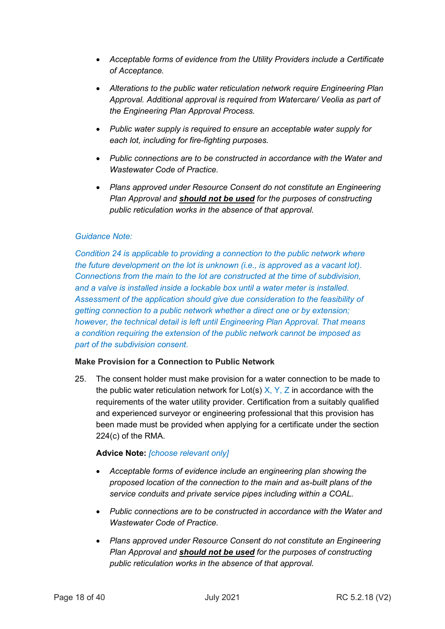- *Acceptable forms of evidence from the Utility Providers include a Certificate of Acceptance.*
- *Alterations to the public water reticulation network require Engineering Plan Approval. Additional approval is required from Watercare/ Veolia as part of the Engineering Plan Approval Process.*
- *Public water supply is required to ensure an acceptable water supply for each lot, including for fire-fighting purposes.*
- *Public connections are to be constructed in accordance with the Water and Wastewater Code of Practice.*
- *Plans approved under Resource Consent do not constitute an Engineering Plan Approval and should not be used for the purposes of constructing public reticulation works in the absence of that approval.*

## *Guidance Note:*

*Condition 24 is applicable to providing a connection to the public network where the future development on the lot is unknown (i.e., is approved as a vacant lot). Connections from the main to the lot are constructed at the time of subdivision, and a valve is installed inside a lockable box until a water meter is installed. Assessment of the application should give due consideration to the feasibility of getting connection to a public network whether a direct one or by extension; however, the technical detail is left until Engineering Plan Approval. That means a condition requiring the extension of the public network cannot be imposed as part of the subdivision consent.*

#### **Make Provision for a Connection to Public Network**

25. The consent holder must make provision for a water connection to be made to the public water reticulation network for Lot(s)  $X, Y, Z$  in accordance with the requirements of the water utility provider. Certification from a suitably qualified and experienced surveyor or engineering professional that this provision has been made must be provided when applying for a certificate under the section 224(c) of the RMA.

## **Advice Note:** *[choose relevant only]*

- *Acceptable forms of evidence include an engineering plan showing the proposed location of the connection to the main and as-built plans of the service conduits and private service pipes including within a COAL.*
- *Public connections are to be constructed in accordance with the Water and Wastewater Code of Practice.*
- *Plans approved under Resource Consent do not constitute an Engineering Plan Approval and should not be used for the purposes of constructing public reticulation works in the absence of that approval.*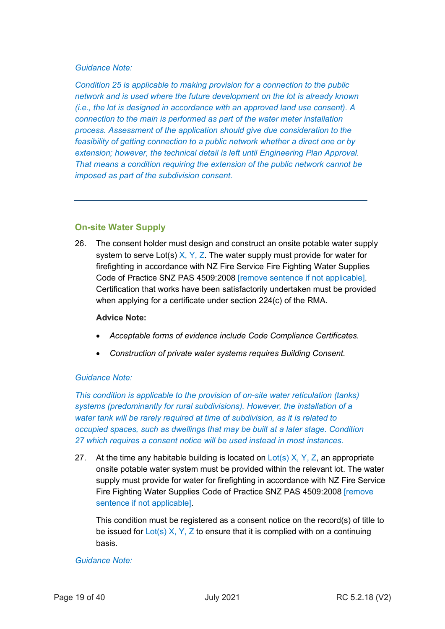## *Guidance Note:*

*Condition 25 is applicable to making provision for a connection to the public network and is used where the future development on the lot is already known (i.e., the lot is designed in accordance with an approved land use consent). A connection to the main is performed as part of the water meter installation process. Assessment of the application should give due consideration to the feasibility of getting connection to a public network whether a direct one or by extension; however, the technical detail is left until Engineering Plan Approval. That means a condition requiring the extension of the public network cannot be imposed as part of the subdivision consent.*

## **On-site Water Supply**

26. The consent holder must design and construct an onsite potable water supply system to serve Lot(s)  $X, Y, Z$ . The water supply must provide for water for firefighting in accordance with NZ Fire Service Fire Fighting Water Supplies Code of Practice SNZ PAS 4509:2008 [remove sentence if not applicable]. Certification that works have been satisfactorily undertaken must be provided when applying for a certificate under section 224(c) of the RMA.

#### **Advice Note:**

- *Acceptable forms of evidence include Code Compliance Certificates.*
- *Construction of private water systems requires Building Consent.*

## *Guidance Note:*

*This condition is applicable to the provision of on-site water reticulation (tanks) systems (predominantly for rural subdivisions). However, the installation of a water tank will be rarely required at time of subdivision, as it is related to occupied spaces, such as dwellings that may be built at a later stage. Condition 27 which requires a consent notice will be used instead in most instances.*

27. At the time any habitable building is located on  $Lot(s)$  X, Y, Z, an appropriate onsite potable water system must be provided within the relevant lot. The water supply must provide for water for firefighting in accordance with NZ Fire Service Fire Fighting Water Supplies Code of Practice SNZ PAS 4509:2008 [remove sentence if not applicable].

This condition must be registered as a consent notice on the record(s) of title to be issued for  $Lot(s) X, Y, Z$  to ensure that it is complied with on a continuing basis.

## *Guidance Note:*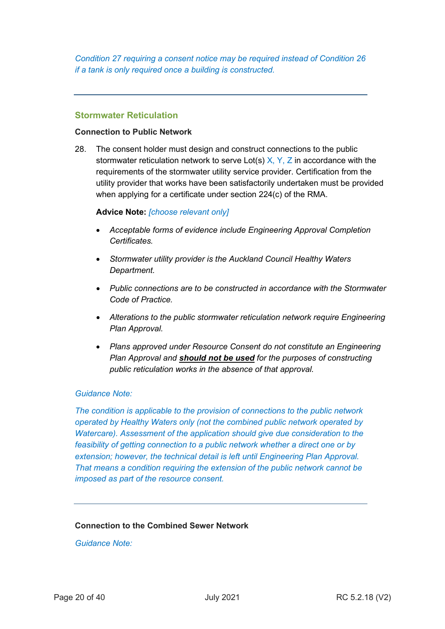*Condition 27 requiring a consent notice may be required instead of Condition 26 if a tank is only required once a building is constructed.*

### **Stormwater Reticulation**

#### **Connection to Public Network**

28. The consent holder must design and construct connections to the public stormwater reticulation network to serve Lot(s)  $X, Y, Z$  in accordance with the requirements of the stormwater utility service provider. Certification from the utility provider that works have been satisfactorily undertaken must be provided when applying for a certificate under section 224(c) of the RMA.

#### **Advice Note:** *[choose relevant only]*

- *Acceptable forms of evidence include Engineering Approval Completion Certificates.*
- *Stormwater utility provider is the Auckland Council Healthy Waters Department.*
- *Public connections are to be constructed in accordance with the Stormwater Code of Practice.*
- *Alterations to the public stormwater reticulation network require Engineering Plan Approval.*
- *Plans approved under Resource Consent do not constitute an Engineering Plan Approval and should not be used for the purposes of constructing public reticulation works in the absence of that approval.*

#### *Guidance Note:*

*The condition is applicable to the provision of connections to the public network operated by Healthy Waters only (not the combined public network operated by Watercare). Assessment of the application should give due consideration to the feasibility of getting connection to a public network whether a direct one or by extension; however, the technical detail is left until Engineering Plan Approval. That means a condition requiring the extension of the public network cannot be imposed as part of the resource consent.*

## **Connection to the Combined Sewer Network**

*Guidance Note:*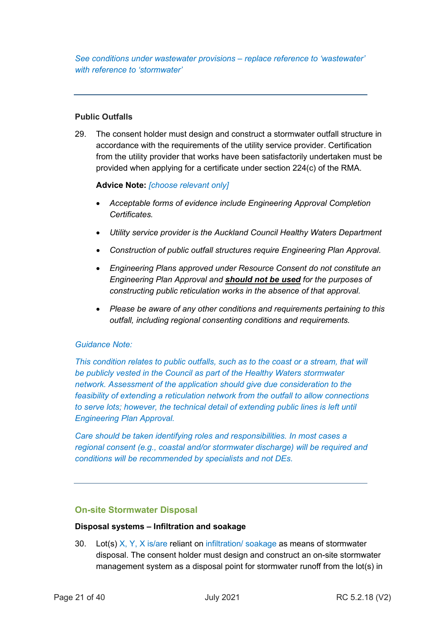*See conditions under wastewater provisions – replace reference to 'wastewater' with reference to 'stormwater'*

## **Public Outfalls**

29. The consent holder must design and construct a stormwater outfall structure in accordance with the requirements of the utility service provider. Certification from the utility provider that works have been satisfactorily undertaken must be provided when applying for a certificate under section 224(c) of the RMA.

## **Advice Note:** *[choose relevant only]*

- *Acceptable forms of evidence include Engineering Approval Completion Certificates.*
- *Utility service provider is the Auckland Council Healthy Waters Department*
- *Construction of public outfall structures require Engineering Plan Approval.*
- *Engineering Plans approved under Resource Consent do not constitute an Engineering Plan Approval and should not be used for the purposes of constructing public reticulation works in the absence of that approval.*
- *Please be aware of any other conditions and requirements pertaining to this outfall, including regional consenting conditions and requirements.*

## *Guidance Note:*

*This condition relates to public outfalls, such as to the coast or a stream, that will be publicly vested in the Council as part of the Healthy Waters stormwater network. Assessment of the application should give due consideration to the feasibility of extending a reticulation network from the outfall to allow connections to serve lots; however, the technical detail of extending public lines is left until Engineering Plan Approval.*

*Care should be taken identifying roles and responsibilities. In most cases a regional consent (e.g., coastal and/or stormwater discharge) will be required and conditions will be recommended by specialists and not DEs.*

## **On-site Stormwater Disposal**

## **Disposal systems – Infiltration and soakage**

30. Lot(s) X, Y, X is/are reliant on infiltration/ soakage as means of stormwater disposal. The consent holder must design and construct an on-site stormwater management system as a disposal point for stormwater runoff from the lot(s) in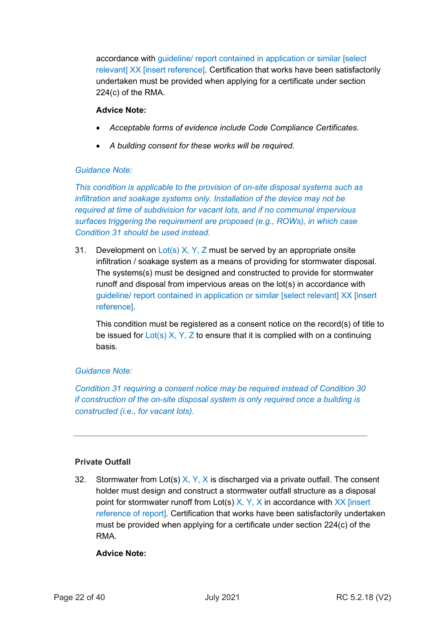accordance with guideline/ report contained in application or similar [select relevant] XX [insert reference]. Certification that works have been satisfactorily undertaken must be provided when applying for a certificate under section 224(c) of the RMA.

## **Advice Note:**

- *Acceptable forms of evidence include Code Compliance Certificates.*
- *A building consent for these works will be required.*

## *Guidance Note:*

*This condition is applicable to the provision of on-site disposal systems such as infiltration and soakage systems only. Installation of the device may not be required at time of subdivision for vacant lots, and if no communal impervious surfaces triggering the requirement are proposed (e.g., ROWs), in which case Condition 31 should be used instead.*

31. Development on  $Lot(s)$  X, Y, Z must be served by an appropriate onsite infiltration / soakage system as a means of providing for stormwater disposal. The systems(s) must be designed and constructed to provide for stormwater runoff and disposal from impervious areas on the lot(s) in accordance with guideline/ report contained in application or similar [select relevant] XX [insert reference].

This condition must be registered as a consent notice on the record(s) of title to be issued for  $Lot(s) X, Y, Z$  to ensure that it is complied with on a continuing basis.

## *Guidance Note:*

*Condition 31 requiring a consent notice may be required instead of Condition 30 if construction of the on-site disposal system is only required once a building is constructed (i.e., for vacant lots).*

## **Private Outfall**

32. Stormwater from Lot(s)  $X, Y, X$  is discharged via a private outfall. The consent holder must design and construct a stormwater outfall structure as a disposal point for stormwater runoff from Lot(s)  $X, Y, X$  in accordance with  $XX$  [insert reference of report]. Certification that works have been satisfactorily undertaken must be provided when applying for a certificate under section 224(c) of the RMA.

## **Advice Note:**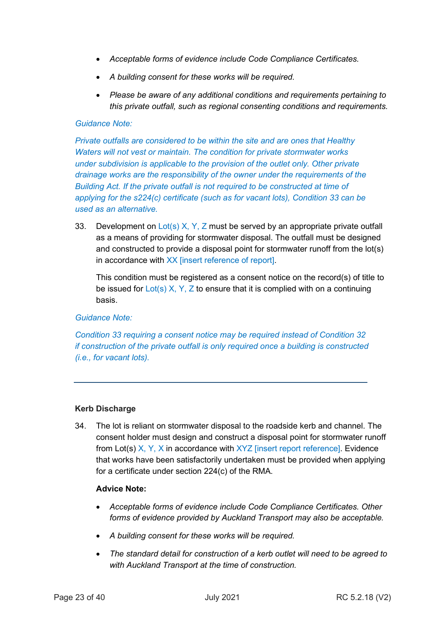- *Acceptable forms of evidence include Code Compliance Certificates.*
- *A building consent for these works will be required.*
- *Please be aware of any additional conditions and requirements pertaining to this private outfall, such as regional consenting conditions and requirements.*

### *Guidance Note:*

*Private outfalls are considered to be within the site and are ones that Healthy Waters will not vest or maintain. The condition for private stormwater works under subdivision is applicable to the provision of the outlet only. Other private drainage works are the responsibility of the owner under the requirements of the Building Act. If the private outfall is not required to be constructed at time of applying for the s224(c) certificate (such as for vacant lots), Condition 33 can be used as an alternative.*

33. Development on Lot(s) X, Y, Z must be served by an appropriate private outfall as a means of providing for stormwater disposal. The outfall must be designed and constructed to provide a disposal point for stormwater runoff from the lot(s) in accordance with XX [insert reference of report].

This condition must be registered as a consent notice on the record(s) of title to be issued for  $Lot(s)$  X, Y, Z to ensure that it is complied with on a continuing basis.

*Guidance Note:*

*Condition 33 requiring a consent notice may be required instead of Condition 32 if construction of the private outfall is only required once a building is constructed (i.e., for vacant lots).*

## **Kerb Discharge**

34. The lot is reliant on stormwater disposal to the roadside kerb and channel. The consent holder must design and construct a disposal point for stormwater runoff from Lot(s) X, Y, X in accordance with XYZ [insert report reference]. Evidence that works have been satisfactorily undertaken must be provided when applying for a certificate under section 224(c) of the RMA.

#### **Advice Note:**

- *Acceptable forms of evidence include Code Compliance Certificates. Other forms of evidence provided by Auckland Transport may also be acceptable.*
- *A building consent for these works will be required.*
- *The standard detail for construction of a kerb outlet will need to be agreed to with Auckland Transport at the time of construction.*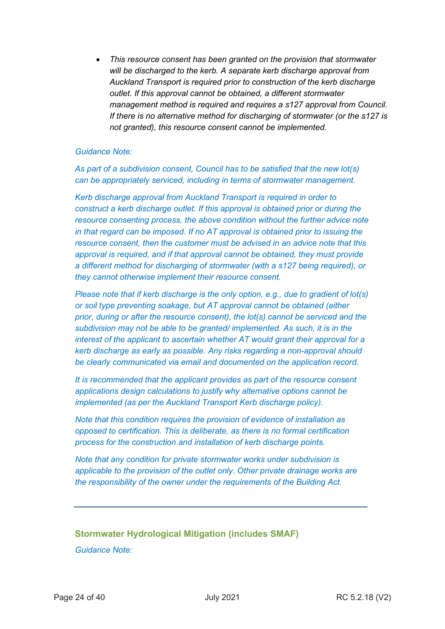• *This resource consent has been granted on the provision that stormwater will be discharged to the kerb. A separate kerb discharge approval from Auckland Transport is required prior to construction of the kerb discharge outlet. If this approval cannot be obtained, a different stormwater management method is required and requires a s127 approval from Council. If there is no alternative method for discharging of stormwater (or the s127 is not granted), this resource consent cannot be implemented.*

#### *Guidance Note:*

*As part of a subdivision consent, Council has to be satisfied that the new lot(s) can be appropriately serviced, including in terms of stormwater management.* 

*Kerb discharge approval from Auckland Transport is required in order to construct a kerb discharge outlet. If this approval is obtained prior or during the resource consenting process, the above condition without the further advice note in that regard can be imposed. If no AT approval is obtained prior to issuing the resource consent, then the customer must be advised in an advice note that this approval is required, and if that approval cannot be obtained, they must provide a different method for discharging of stormwater (with a s127 being required), or they cannot otherwise implement their resource consent.* 

*Please note that if kerb discharge is the only option, e.g., due to gradient of lot(s) or soil type preventing soakage, but AT approval cannot be obtained (either prior, during or after the resource consent), the lot(s) cannot be serviced and the subdivision may not be able to be granted/ implemented. As such, it is in the interest of the applicant to ascertain whether AT would grant their approval for a kerb discharge as early as possible. Any risks regarding a non-approval should be clearly communicated via email and documented on the application record.*

*It is recommended that the applicant provides as part of the resource consent applications design calculations to justify why alternative options cannot be implemented (as per the Auckland Transport Kerb discharge policy).*

*Note that this condition requires the provision of evidence of installation as opposed to certification. This is deliberate, as there is no formal certification process for the construction and installation of kerb discharge points.*

*Note that any condition for private stormwater works under subdivision is applicable to the provision of the outlet only. Other private drainage works are the responsibility of the owner under the requirements of the Building Act.*

## **Stormwater Hydrological Mitigation (includes SMAF)**

*Guidance Note:*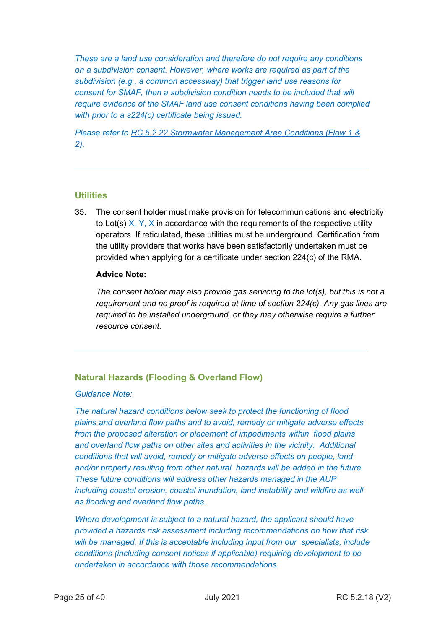*These are a land use consideration and therefore do not require any conditions on a subdivision consent. However, where works are required as part of the subdivision (e.g., a common accessway) that trigger land use reasons for consent for SMAF, then a subdivision condition needs to be included that will require evidence of the SMAF land use consent conditions having been complied with prior to a s224(c) certificate being issued.*

*Please refer to [RC 5.2.22 Stormwater Management Area Conditions \(Flow 1 &](http://content.aucklanddesignmanual.co.nz/regulations/consent-conditions-manual/Documents/Stormwater%20Management%20Area%20Conditions.docx)  [2\).](http://content.aucklanddesignmanual.co.nz/regulations/consent-conditions-manual/Documents/Stormwater%20Management%20Area%20Conditions.docx)*

## **Utilities**

35. The consent holder must make provision for telecommunications and electricity to Lot(s)  $X, Y, X$  in accordance with the requirements of the respective utility operators. If reticulated, these utilities must be underground. Certification from the utility providers that works have been satisfactorily undertaken must be provided when applying for a certificate under section 224(c) of the RMA.

## **Advice Note:**

*The consent holder may also provide gas servicing to the lot(s), but this is not a requirement and no proof is required at time of section 224(c). Any gas lines are required to be installed underground, or they may otherwise require a further resource consent.*

## **Natural Hazards (Flooding & Overland Flow)**

#### *Guidance Note:*

*The natural hazard conditions below seek to protect the functioning of flood plains and overland flow paths and to avoid, remedy or mitigate adverse effects from the proposed alteration or placement of impediments within flood plains and overland flow paths on other sites and activities in the vicinity. Additional conditions that will avoid, remedy or mitigate adverse effects on people, land and/or property resulting from other natural hazards will be added in the future. These future conditions will address other hazards managed in the AUP including coastal erosion, coastal inundation, land instability and wildfire as well as flooding and overland flow paths.*

*Where development is subject to a natural hazard, the applicant should have provided a hazards risk assessment including recommendations on how that risk will be managed. If this is acceptable including input from our specialists, include conditions (including consent notices if applicable) requiring development to be undertaken in accordance with those recommendations.*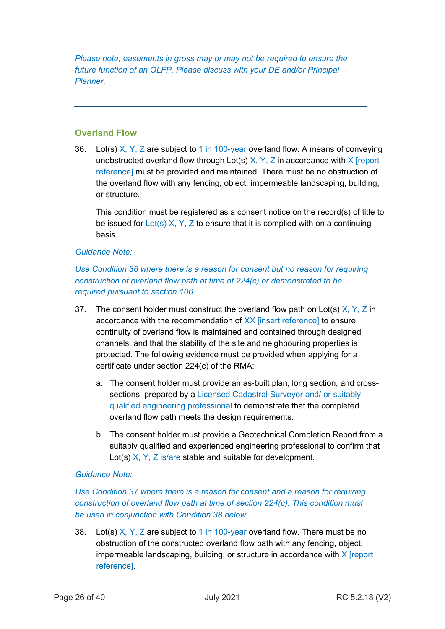*Please note, easements in gross may or may not be required to ensure the future function of an OLFP. Please discuss with your DE and/or Principal Planner.*

## **Overland Flow**

36. Lot(s)  $X, Y, Z$  are subject to 1 in 100-year overland flow. A means of conveying unobstructed overland flow through Lot(s)  $X, Y, Z$  in accordance with  $X$  [report reference] must be provided and maintained. There must be no obstruction of the overland flow with any fencing, object, impermeable landscaping, building, or structure.

This condition must be registered as a consent notice on the record(s) of title to be issued for  $Lot(s)$  X, Y, Z to ensure that it is complied with on a continuing basis.

#### *Guidance Note:*

*Use Condition 36 where there is a reason for consent but no reason for requiring construction of overland flow path at time of 224(c) or demonstrated to be required pursuant to section 106.*

- 37. The consent holder must construct the overland flow path on Lot(s)  $X, Y, Z$  in accordance with the recommendation of XX [insert reference] to ensure continuity of overland flow is maintained and contained through designed channels, and that the stability of the site and neighbouring properties is protected. The following evidence must be provided when applying for a certificate under section 224(c) of the RMA:
	- a. The consent holder must provide an as-built plan, long section, and crosssections, prepared by a Licensed Cadastral Surveyor and/ or suitably qualified engineering professional to demonstrate that the completed overland flow path meets the design requirements.
	- b. The consent holder must provide a Geotechnical Completion Report from a suitably qualified and experienced engineering professional to confirm that Lot(s) X, Y, Z is/are stable and suitable for development.

## *Guidance Note:*

## *Use Condition 37 where there is a reason for consent and a reason for requiring construction of overland flow path at time of section 224(c). This condition must be used in conjunction with Condition 38 below.*

38. Lot(s) X, Y, Z are subject to 1 in 100-year overland flow. There must be no obstruction of the constructed overland flow path with any fencing, object, impermeable landscaping, building, or structure in accordance with X [report reference].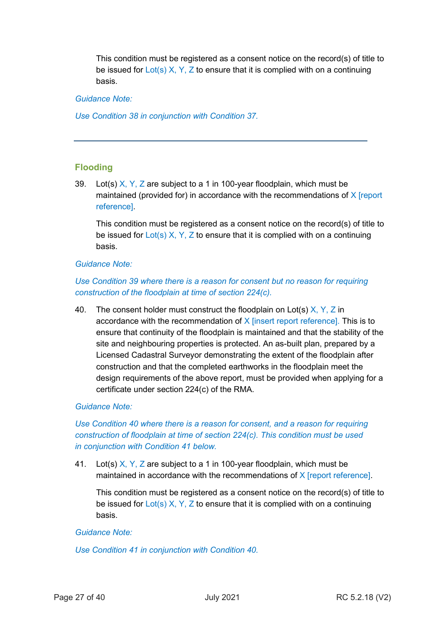This condition must be registered as a consent notice on the record(s) of title to be issued for  $Lot(s) X, Y, Z$  to ensure that it is complied with on a continuing basis.

### *Guidance Note:*

*Use Condition 38 in conjunction with Condition 37.*

## **Flooding**

39. Lot(s)  $X, Y, Z$  are subject to a 1 in 100-year floodplain, which must be maintained (provided for) in accordance with the recommendations of  $X$  [report reference].

This condition must be registered as a consent notice on the record(s) of title to be issued for  $Lot(s) X, Y, Z$  to ensure that it is complied with on a continuing basis.

#### *Guidance Note:*

## *Use Condition 39 where there is a reason for consent but no reason for requiring construction of the floodplain at time of section 224(c).*

40. The consent holder must construct the floodplain on Lot(s)  $X, Y, Z$  in accordance with the recommendation of  $X$  [insert report reference]. This is to ensure that continuity of the floodplain is maintained and that the stability of the site and neighbouring properties is protected. An as-built plan, prepared by a Licensed Cadastral Surveyor demonstrating the extent of the floodplain after construction and that the completed earthworks in the floodplain meet the design requirements of the above report, must be provided when applying for a certificate under section 224(c) of the RMA.

## *Guidance Note:*

## *Use Condition 40 where there is a reason for consent, and a reason for requiring construction of floodplain at time of section 224(c). This condition must be used in conjunction with Condition 41 below.*

41. Lot(s)  $X, Y, Z$  are subject to a 1 in 100-year floodplain, which must be maintained in accordance with the recommendations of  $X$  [report reference].

This condition must be registered as a consent notice on the record(s) of title to be issued for  $Lot(s) X, Y, Z$  to ensure that it is complied with on a continuing basis.

#### *Guidance Note:*

*Use Condition 41 in conjunction with Condition 40.*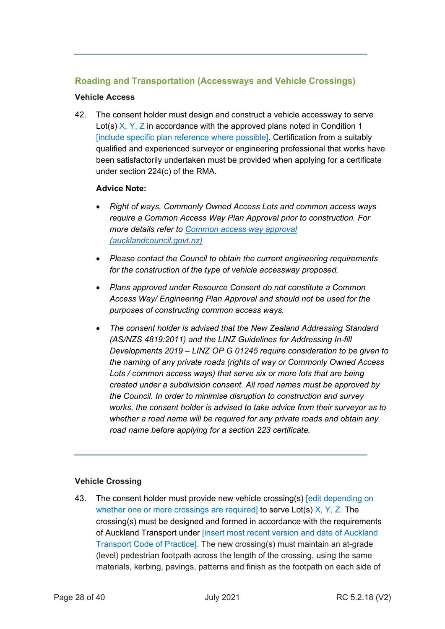## **Roading and Transportation (Accessways and Vehicle Crossings)**

## **Vehicle Access**

42. The consent holder must design and construct a vehicle accessway to serve Lot(s)  $X, Y, Z$  in accordance with the approved plans noted in Condition 1 [include specific plan reference where possible]. Certification from a suitably qualified and experienced surveyor or engineering professional that works have been satisfactorily undertaken must be provided when applying for a certificate under section 224(c) of the RMA.

## **Advice Note:**

- *Right of ways, Commonly Owned Access Lots and common access ways require a Common Access Way Plan Approval prior to construction. For more details refer to [Common access way approval](https://www.aucklandcouncil.govt.nz/building-and-consents/engineering-approvals/Pages/common-access-way-approval.aspx)  [\(aucklandcouncil.govt.nz\)](https://www.aucklandcouncil.govt.nz/building-and-consents/engineering-approvals/Pages/common-access-way-approval.aspx)*
- *Please contact the Council to obtain the current engineering requirements for the construction of the type of vehicle accessway proposed.*
- *Plans approved under Resource Consent do not constitute a Common Access Way/ Engineering Plan Approval and should not be used for the purposes of constructing common access ways.*
- *The consent holder is advised that the New Zealand Addressing Standard (AS/NZS 4819:2011) and the LINZ Guidelines for Addressing In-fill Developments 2019 – LINZ OP G 01245 require consideration to be given to the naming of any private roads (rights of way or Commonly Owned Access Lots / common access ways) that serve six or more lots that are being created under a subdivision consent. All road names must be approved by the Council. In order to minimise disruption to construction and survey works, the consent holder is advised to take advice from their surveyor as to whether a road name will be required for any private roads and obtain any road name before [applying for a section 223 certificate.](https://www.aucklandcouncil.govt.nz/building-and-consents/types-resource-consents/subdivision-of-property/Pages/apply-for-subdivision-resource-consent.aspx)*

## **Vehicle Crossing**

43. The consent holder must provide new vehicle crossing(s) [edit depending on whether one or more crossings are required] to serve Lot(s) X, Y, Z. The crossing(s) must be designed and formed in accordance with the requirements of Auckland Transport under [insert most recent version and date of Auckland Transport Code of Practice]. The new crossing(s) must maintain an at-grade (level) pedestrian footpath across the length of the crossing, using the same materials, kerbing, pavings, patterns and finish as the footpath on each side of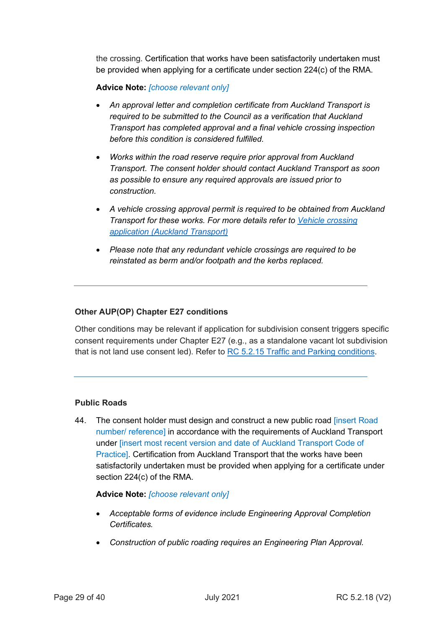the crossing. Certification that works have been satisfactorily undertaken must be provided when applying for a certificate under section 224(c) of the RMA.

## **Advice Note:** *[choose relevant only]*

- *An approval letter and completion certificate from Auckland Transport is required to be submitted to the Council as a verification that Auckland Transport has completed approval and a final vehicle crossing inspection before this condition is considered fulfilled.*
- *Works within the road reserve require prior approval from Auckland Transport. The consent holder should contact Auckland Transport as soon as possible to ensure any required approvals are issued prior to construction.*
- *A vehicle crossing approval permit is required to be obtained from Auckland Transport for these works. For more details refer to [Vehicle crossing](https://at.govt.nz/about-us/working-on-the-road/vehicle-crossing-application/)  [application \(Auckland Transport\)](https://at.govt.nz/about-us/working-on-the-road/vehicle-crossing-application/)*
- *Please note that any redundant vehicle crossings are required to be reinstated as berm and/or footpath and the kerbs replaced.*

#### **Other AUP(OP) Chapter E27 conditions**

Other conditions may be relevant if application for subdivision consent triggers specific consent requirements under Chapter E27 (e.g., as a standalone vacant lot subdivision that is not land use consent led). Refer to [RC 5.2.15 Traffic and Parking conditions.](http://content.aucklanddesignmanual.co.nz/regulations/consent-conditions-manual/Documents/Traffic%20and%20Parking%20Conditions.docx)

#### **Public Roads**

44. The consent holder must design and construct a new public road *[insert Road*] number/ reference] in accordance with the requirements of Auckland Transport under [insert most recent version and date of Auckland Transport Code of Practice]. Certification from Auckland Transport that the works have been satisfactorily undertaken must be provided when applying for a certificate under section 224(c) of the RMA.

#### **Advice Note:** *[choose relevant only]*

- *Acceptable forms of evidence include Engineering Approval Completion Certificates.*
- *Construction of public roading requires an Engineering Plan Approval.*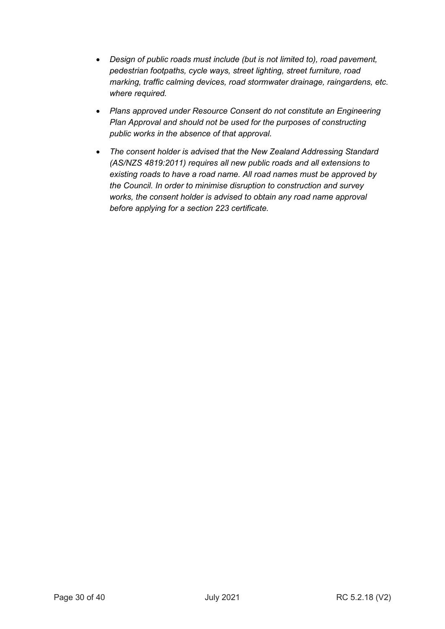- *Design of public roads must include (but is not limited to), road pavement, pedestrian footpaths, cycle ways, street lighting, street furniture, road marking, traffic calming devices, road stormwater drainage, raingardens, etc. where required.*
- *Plans approved under Resource Consent do not constitute an Engineering Plan Approval and should not be used for the purposes of constructing public works in the absence of that approval.*
- *The consent holder is advised that the New Zealand Addressing Standard (AS/NZS 4819:2011) requires all new public roads and all extensions to existing roads to have a road name. All road names must be approved by the Council. In order to minimise disruption to construction and survey works, the consent holder is advised to obtain any road name approval before applying for a section 223 certificate.*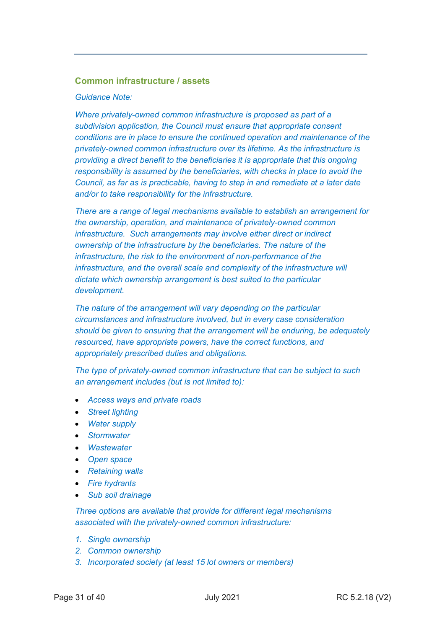## **Common infrastructure / assets**

#### *Guidance Note:*

*Where privately-owned common infrastructure is proposed as part of a subdivision application, the Council must ensure that appropriate consent conditions are in place to ensure the continued operation and maintenance of the privately-owned common infrastructure over its lifetime. As the infrastructure is providing a direct benefit to the beneficiaries it is appropriate that this ongoing responsibility is assumed by the beneficiaries, with checks in place to avoid the Council, as far as is practicable, having to step in and remediate at a later date and/or to take responsibility for the infrastructure.* 

*There are a range of legal mechanisms available to establish an arrangement for the ownership, operation, and maintenance of privately-owned common infrastructure. Such arrangements may involve either direct or indirect ownership of the infrastructure by the beneficiaries. The nature of the infrastructure, the risk to the environment of non-performance of the infrastructure, and the overall scale and complexity of the infrastructure will dictate which ownership arrangement is best suited to the particular development.*

*The nature of the arrangement will vary depending on the particular circumstances and infrastructure involved, but in every case consideration should be given to ensuring that the arrangement will be enduring, be adequately resourced, have appropriate powers, have the correct functions, and appropriately prescribed duties and obligations.*

*The type of privately-owned common infrastructure that can be subject to such an arrangement includes (but is not limited to):*

- *Access ways and private roads*
- *Street lighting*
- *Water supply*
- *Stormwater*
- *Wastewater*
- *Open space*
- *Retaining walls*
- *Fire hydrants*
- *Sub soil drainage*

*Three options are available that provide for different legal mechanisms associated with the privately-owned common infrastructure:*

- *1. Single ownership*
- *2. Common ownership*
- *3. Incorporated society (at least 15 lot owners or members)*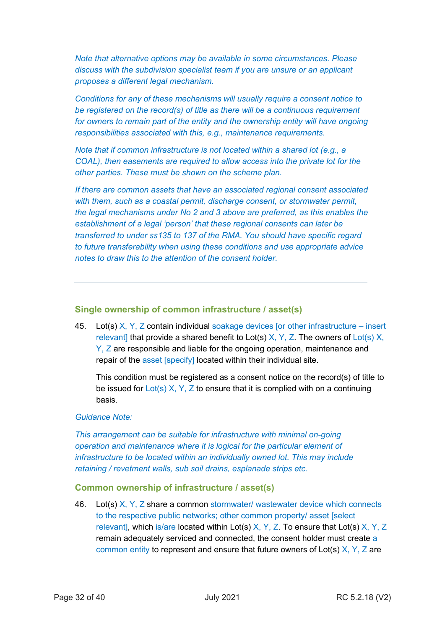*Note that alternative options may be available in some circumstances. Please discuss with the subdivision specialist team if you are unsure or an applicant proposes a different legal mechanism.*

*Conditions for any of these mechanisms will usually require a consent notice to be registered on the record(s) of title as there will be a continuous requirement for owners to remain part of the entity and the ownership entity will have ongoing responsibilities associated with this, e.g., maintenance requirements.*

*Note that if common infrastructure is not located within a shared lot (e.g., a COAL), then easements are required to allow access into the private lot for the other parties. These must be shown on the scheme plan.*

*If there are common assets that have an associated regional consent associated with them, such as a coastal permit, discharge consent, or stormwater permit, the legal mechanisms under No 2 and 3 above are preferred, as this enables the establishment of a legal 'person' that these regional consents can later be transferred to under ss135 to 137 of the RMA. You should have specific regard to future transferability when using these conditions and use appropriate advice notes to draw this to the attention of the consent holder.*

#### **Single ownership of common infrastructure / asset(s)**

45. Lot(s)  $X, Y, Z$  contain individual soakage devices [or other infrastructure – insert relevant] that provide a shared benefit to Lot(s)  $X, Y, Z$ . The owners of Lot(s) X, Y, Z are responsible and liable for the ongoing operation, maintenance and repair of the asset [specify] located within their individual site.

This condition must be registered as a consent notice on the record(s) of title to be issued for  $Lot(s) X, Y, Z$  to ensure that it is complied with on a continuing basis.

#### *Guidance Note:*

*This arrangement can be suitable for infrastructure with minimal on-going operation and maintenance where it is logical for the particular element of infrastructure to be located within an individually owned lot. This may include retaining / revetment walls, sub soil drains, esplanade strips etc.*

#### **Common ownership of infrastructure / asset(s)**

46. Lot(s) X, Y, Z share a common stormwater/ wastewater device which connects to the respective public networks; other common property/ asset [select relevant], which is/are located within Lot(s)  $X, Y, Z$ . To ensure that Lot(s)  $X, Y, Z$ remain adequately serviced and connected, the consent holder must create a common entity to represent and ensure that future owners of Lot(s)  $X, Y, Z$  are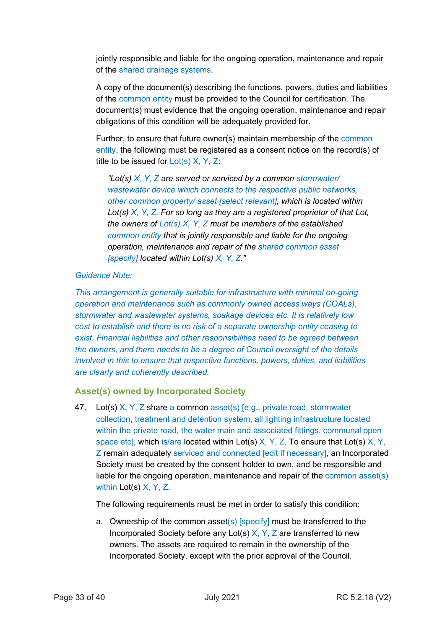jointly responsible and liable for the ongoing operation, maintenance and repair of the shared drainage systems.

A copy of the document(s) describing the functions, powers, duties and liabilities of the common entity must be provided to the Council for certification. The document(s) must evidence that the ongoing operation, maintenance and repair obligations of this condition will be adequately provided for.

Further, to ensure that future owner(s) maintain membership of the common entity, the following must be registered as a consent notice on the record(s) of title to be issued for  $Lot(s)$  X, Y, Z:

*"Lot(s) X, Y, Z are served or serviced by a common stormwater/ wastewater device which connects to the respective public networks; other common property/ asset [select relevant], which is located within Lot(s) X, Y, Z. For so long as they are a registered proprietor of that Lot, the owners of Lot(s) X, Y, Z must be members of the established common entity that is jointly responsible and liable for the ongoing operation, maintenance and repair of the shared common asset [specify] located within Lot(s) X, Y, Z."*

## *Guidance Note:*

*This arrangement is generally suitable for infrastructure with minimal on-going operation and maintenance such as commonly owned access ways (COALs), stormwater and wastewater systems, soakage devices etc. It is relatively low cost to establish and there is no risk of a separate ownership entity ceasing to exist. Financial liabilities and other responsibilities need to be agreed between the owners, and there needs to be a degree of Council oversight of the details involved in this to ensure that respective functions, powers, duties, and liabilities are clearly and coherently described.* 

## **Asset(s) owned by Incorporated Society**

47. Lot(s) X, Y, Z share a common asset(s) [e.g., private road, stormwater collection, treatment and detention system, all lighting infrastructure located within the private road, the water main and associated fittings, communal open space etc], which is/are located within Lot(s)  $X, Y, Z$ . To ensure that Lot(s)  $X, Y$ , Z remain adequately serviced and connected [edit if necessary], an Incorporated Society must be created by the consent holder to own, and be responsible and liable for the ongoing operation, maintenance and repair of the common asset(s) within Lot(s) X, Y, Z.

The following requirements must be met in order to satisfy this condition:

a. Ownership of the common asset(s)  $[specify]$  must be transferred to the Incorporated Society before any Lot(s)  $X, Y, Z$  are transferred to new owners. The assets are required to remain in the ownership of the Incorporated Society, except with the prior approval of the Council.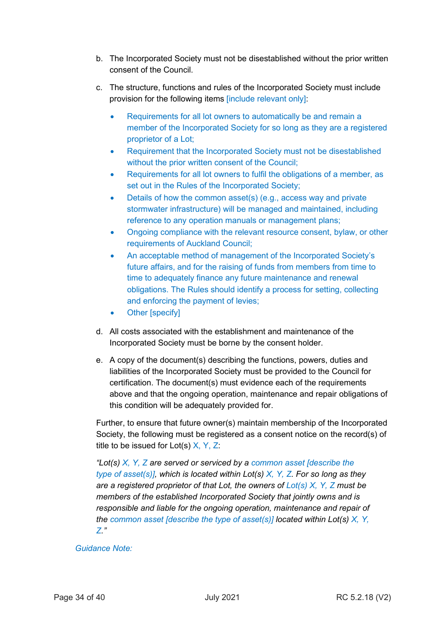- b. The Incorporated Society must not be disestablished without the prior written consent of the Council.
- c. The structure, functions and rules of the Incorporated Society must include provision for the following items [include relevant only]:
	- Requirements for all lot owners to automatically be and remain a member of the Incorporated Society for so long as they are a registered proprietor of a Lot;
	- Requirement that the Incorporated Society must not be disestablished without the prior written consent of the Council;
	- Requirements for all lot owners to fulfil the obligations of a member, as set out in the Rules of the Incorporated Society;
	- Details of how the common asset(s) (e.g., access way and private stormwater infrastructure) will be managed and maintained, including reference to any operation manuals or management plans;
	- Ongoing compliance with the relevant resource consent, bylaw, or other requirements of Auckland Council;
	- An acceptable method of management of the Incorporated Society's future affairs, and for the raising of funds from members from time to time to adequately finance any future maintenance and renewal obligations. The Rules should identify a process for setting, collecting and enforcing the payment of levies;
	- Other [specify]
- d. All costs associated with the establishment and maintenance of the Incorporated Society must be borne by the consent holder.
- e. A copy of the document(s) describing the functions, powers, duties and liabilities of the Incorporated Society must be provided to the Council for certification. The document(s) must evidence each of the requirements above and that the ongoing operation, maintenance and repair obligations of this condition will be adequately provided for.

Further, to ensure that future owner(s) maintain membership of the Incorporated Society, the following must be registered as a consent notice on the record(s) of title to be issued for  $Lot(s)$   $X, Y, Z$ :

*"Lot(s) X, Y, Z are served or serviced by a common asset [describe the type of asset(s)], which is located within Lot(s) X, Y, Z. For so long as they are a registered proprietor of that Lot, the owners of Lot(s) X, Y, Z must be members of the established Incorporated Society that jointly owns and is responsible and liable for the ongoing operation, maintenance and repair of the common asset [describe the type of asset(s)] located within Lot(s) X, Y, Z."*

## *Guidance Note:*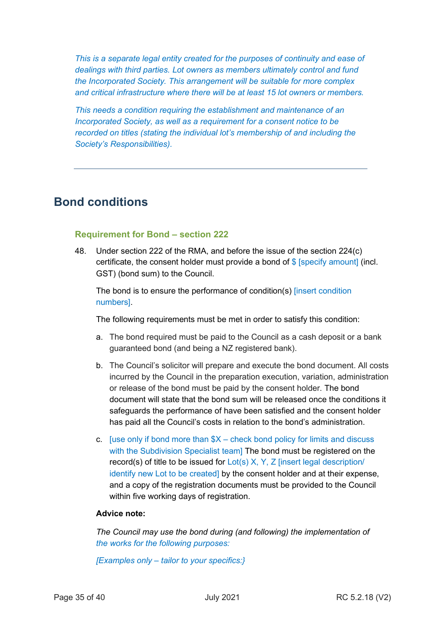*This is a separate legal entity created for the purposes of continuity and ease of dealings with third parties. Lot owners as members ultimately control and fund the Incorporated Society. This arrangement will be suitable for more complex and critical infrastructure where there will be at least 15 lot owners or members.* 

*This needs a condition requiring the establishment and maintenance of an Incorporated Society, as well as a requirement for a consent notice to be recorded on titles (stating the individual lot's membership of and including the Society's Responsibilities).*

## **Bond conditions**

## **Requirement for Bond – section 222**

48. Under section 222 of the RMA, and before the issue of the section 224(c) certificate, the consent holder must provide a bond of  $\frac{1}{2}$  [specify amount] (incl. GST) (bond sum) to the Council.

The bond is to ensure the performance of condition(s) [insert condition numbers].

The following requirements must be met in order to satisfy this condition:

- a. The bond required must be paid to the Council as a cash deposit or a bank guaranteed bond (and being a NZ registered bank).
- b. The Council's solicitor will prepare and execute the bond document. All costs incurred by the Council in the preparation execution, variation, administration or release of the bond must be paid by the consent holder. The bond document will state that the bond sum will be released once the conditions it safeguards the performance of have been satisfied and the consent holder has paid all the Council's costs in relation to the bond's administration.
- c. [use only if bond more than  $X$  check bond policy for limits and discuss with the Subdivision Specialist team] The bond must be registered on the record(s) of title to be issued for Lot(s) X, Y, Z [insert legal description/ identify new Lot to be created] by the consent holder and at their expense, and a copy of the registration documents must be provided to the Council within five working days of registration.

## **Advice note:**

*The Council may use the bond during (and following) the implementation of the works for the following purposes:*

*[Examples only – tailor to your specifics:}*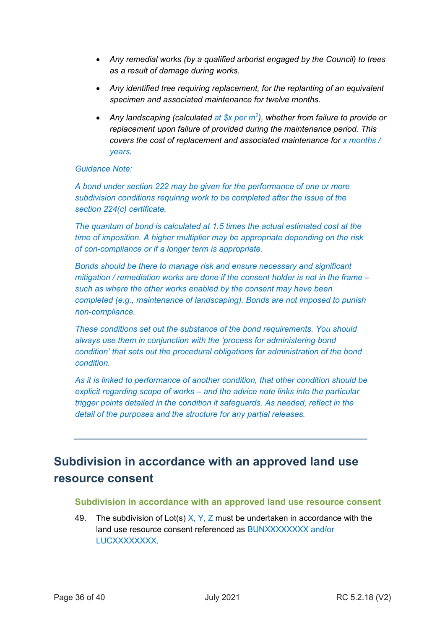- *Any remedial works (by a qualified arborist engaged by the Council) to trees as a result of damage during works.*
- *Any identified tree requiring replacement, for the replanting of an equivalent specimen and associated maintenance for twelve months.*
- *Any landscaping (calculated at \$x per m<sup>2</sup> ), whether from failure to provide or replacement upon failure of provided during the maintenance period. This covers the cost of replacement and associated maintenance for x months / years.*

## *Guidance Note:*

*A bond under section 222 may be given for the performance of one or more subdivision conditions requiring work to be completed after the issue of the section 224(c) certificate.*

*The quantum of bond is calculated at 1.5 times the actual estimated cost at the time of imposition. A higher multiplier may be appropriate depending on the risk of con-compliance or if a longer term is appropriate.* 

*Bonds should be there to manage risk and ensure necessary and significant mitigation / remediation works are done if the consent holder is not in the frame – such as where the other works enabled by the consent may have been completed (e.g., maintenance of landscaping). Bonds are not imposed to punish non-compliance.*

*These conditions set out the substance of the bond requirements. You should always use them in conjunction with the 'process for administering bond condition' that sets out the procedural obligations for administration of the bond condition.* 

*As it is linked to performance of another condition, that other condition should be explicit regarding scope of works – and the advice note links into the particular trigger points detailed in the condition it safeguards. As needed, reflect in the detail of the purposes and the structure for any partial releases.*

## **Subdivision in accordance with an approved land use resource consent**

#### **Subdivision in accordance with an approved land use resource consent**

49. The subdivision of Lot(s)  $X, Y, Z$  must be undertaken in accordance with the land use resource consent referenced as BUNXXXXXXXX and/or **LUCXXXXXXXX**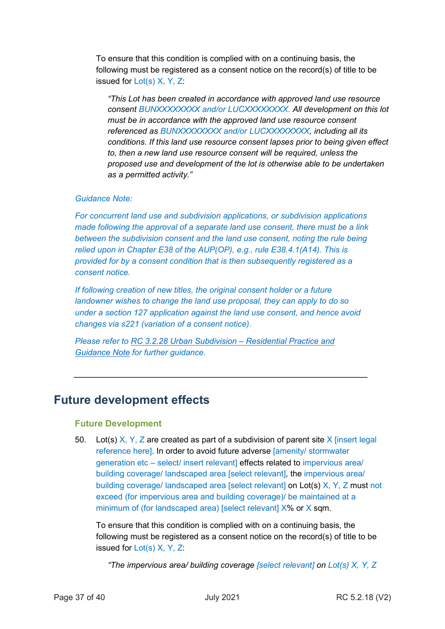To ensure that this condition is complied with on a continuing basis, the following must be registered as a consent notice on the record(s) of title to be issued for Lot(s) X, Y, Z:

*"This Lot has been created in accordance with approved land use resource consent BUNXXXXXXXX and/or LUCXXXXXXXX. All development on this lot must be in accordance with the approved land use resource consent referenced as BUNXXXXXXXX and/or LUCXXXXXXXX, including all its conditions. If this land use resource consent lapses prior to being given effect to, then a new land use resource consent will be required, unless the proposed use and development of the lot is otherwise able to be undertaken as a permitted activity."*

## *Guidance Note:*

*For concurrent land use and subdivision applications, or subdivision applications made following the approval of a separate land use consent, there must be a link between the subdivision consent and the land use consent, noting the rule being relied upon in Chapter E38 of the AUP(OP), e.g., rule E38.4.1(A14). This is provided for by a consent condition that is then subsequently registered as a consent notice.*

*If following creation of new titles, the original consent holder or a future landowner wishes to change the land use proposal, they can apply to do so under a section 127 application against the land use consent, and hence avoid changes via s221 (variation of a consent notice).*

*Please refer to RC 3.2.28 Urban Subdivision – [Residential Practice and](http://content.aucklanddesignmanual.co.nz/regulations/practice-notes/Documents/RC%203.2.28%20Urban%20Subdivision.pdf)  [Guidance Note](http://content.aucklanddesignmanual.co.nz/regulations/practice-notes/Documents/RC%203.2.28%20Urban%20Subdivision.pdf) for further guidance.*

## **Future development effects**

#### **Future Development**

50. Lot(s)  $X, Y, Z$  are created as part of a subdivision of parent site X [insert legal reference here]. In order to avoid future adverse [amenity/ stormwater generation etc – select/ insert relevant] effects related to impervious area/ building coverage/ landscaped area [select relevant], the impervious area/ building coverage/ landscaped area [select relevant] on Lot(s) X, Y, Z must not exceed (for impervious area and building coverage)/ be maintained at a minimum of (for landscaped area) [select relevant] X% or X sqm.

To ensure that this condition is complied with on a continuing basis, the following must be registered as a consent notice on the record(s) of title to be issued for Lot(s) X, Y, Z:

*"The impervious area/ building coverage [select relevant] on Lot(s) X, Y, Z*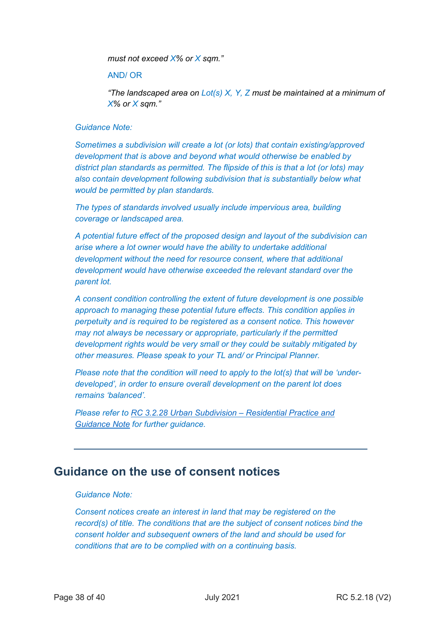*must not exceed X% or X sqm."*

#### AND/ OR

*"The landscaped area on Lot(s) X, Y, Z must be maintained at a minimum of X% or X sqm."*

#### *Guidance Note:*

*Sometimes a subdivision will create a lot (or lots) that contain existing/approved development that is above and beyond what would otherwise be enabled by district plan standards as permitted. The flipside of this is that a lot (or lots) may also contain development following subdivision that is substantially below what would be permitted by plan standards.*

*The types of standards involved usually include impervious area, building coverage or landscaped area.*

*A potential future effect of the proposed design and layout of the subdivision can arise where a lot owner would have the ability to undertake additional development without the need for resource consent, where that additional development would have otherwise exceeded the relevant standard over the parent lot.*

*A consent condition controlling the extent of future development is one possible approach to managing these potential future effects. This condition applies in perpetuity and is required to be registered as a consent notice. This however may not always be necessary or appropriate, particularly if the permitted development rights would be very small or they could be suitably mitigated by other measures. Please speak to your TL and/ or Principal Planner.*

*Please note that the condition will need to apply to the lot(s) that will be 'underdeveloped', in order to ensure overall development on the parent lot does remains 'balanced'.*

*Please refer to [RC 3.2.28 Urban Subdivision –](http://content.aucklanddesignmanual.co.nz/regulations/practice-notes/Documents/RC%203.2.28%20Urban%20Subdivision.pdf) Residential Practice and [Guidance Note](http://content.aucklanddesignmanual.co.nz/regulations/practice-notes/Documents/RC%203.2.28%20Urban%20Subdivision.pdf) for further guidance.*

## **Guidance on the use of consent notices**

#### *Guidance Note:*

*Consent notices create an interest in land that may be registered on the record(s) of title. The conditions that are the subject of consent notices bind the consent holder and subsequent owners of the land and should be used for conditions that are to be complied with on a continuing basis.*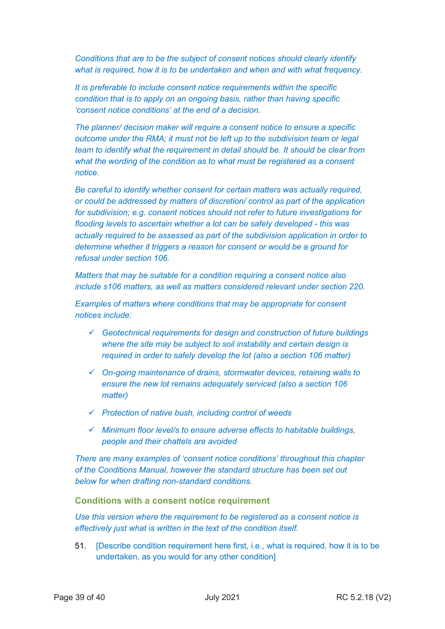*Conditions that are to be the subject of consent notices should clearly identify what is required, how it is to be undertaken and when and with what frequency.* 

*It is preferable to include consent notice requirements within the specific condition that is to apply on an ongoing basis, rather than having specific 'consent notice conditions' at the end of a decision.*

*The planner/ decision maker will require a consent notice to ensure a specific outcome under the RMA; it must not be left up to the subdivision team or legal team to identify what the requirement in detail should be. It should be clear from what the wording of the condition as to what must be registered as a consent notice.*

*Be careful to identify whether consent for certain matters was actually required, or could be addressed by matters of discretion/ control as part of the application for subdivision; e.g. consent notices should not refer to future investigations for flooding levels to ascertain whether a lot can be safely developed - this was actually required to be assessed as part of the subdivision application in order to determine whether it triggers a reason for consent or would be a ground for refusal under section 106.* 

*Matters that may be suitable for a condition requiring a consent notice also include s106 matters, as well as matters considered relevant under section 220.*

*Examples of matters where conditions that may be appropriate for consent notices include:*

- *Geotechnical requirements for design and construction of future buildings where the site may be subject to soil instability and certain design is required in order to safely develop the lot (also a section 106 matter)*
- *On-going maintenance of drains, stormwater devices, retaining walls to ensure the new lot remains adequately serviced (also a section 106 matter)*
- *Protection of native bush, including control of weeds*
- *Minimum floor level/s to ensure adverse effects to habitable buildings, people and their chattels are avoided*

*There are many examples of 'consent notice conditions' throughout this chapter of the Conditions Manual, however the standard structure has been set out below for when drafting non-standard conditions.*

#### **Conditions with a consent notice requirement**

*Use this version where the requirement to be registered as a consent notice is effectively just what is written in the text of the condition itself.*

51. [Describe condition requirement here first, i.e., what is required, how it is to be undertaken, as you would for any other condition]